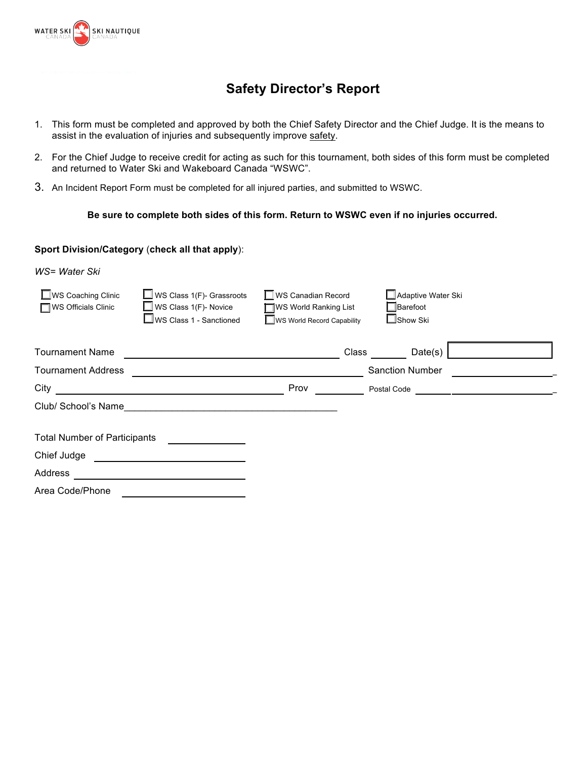

## **Safety Director's Report**

- 1. This form must be completed and approved by both the Chief Safety Director and the Chief Judge. It is the means to assist in the evaluation of injuries and subsequently improve safety.
- 2. For the Chief Judge to receive credit for acting as such for this tournament, both sides of this form must be completed and returned to Water Ski and Wakeboard Canada "WSWC".
- 3. An Incident Report Form must be completed for all injured parties, and submitted to WSWC.

## **Be sure to complete both sides of this form. Return to WSWC even if no injuries occurred.**

## **Sport Division/Category** (**check all that apply**):

*WS= Water Ski*

| $\Box$ WS Coaching Clinic<br><b>WS Officials Clinic</b> | WS Class 1(F)- Grassroots<br>$\Box$ WS Class 1(F)- Novice<br>$\Box$ WS Class 1 - Sanctioned | WS Canadian Record<br>WS World Ranking List<br>WS World Record Capability | □ Adaptive Water Ski<br>□Barefoot<br>$\Box$ Show Ski |
|---------------------------------------------------------|---------------------------------------------------------------------------------------------|---------------------------------------------------------------------------|------------------------------------------------------|
| <b>Tournament Name</b>                                  |                                                                                             | Class                                                                     | Date(s)                                              |
| <b>Tournament Address</b>                               |                                                                                             |                                                                           | <b>Sanction Number</b>                               |
| City                                                    |                                                                                             | Prov                                                                      | Postal Code                                          |
| Club/ School's Name                                     |                                                                                             |                                                                           |                                                      |
| <b>Total Number of Participants</b>                     |                                                                                             |                                                                           |                                                      |
| Chief Judge                                             |                                                                                             |                                                                           |                                                      |
| Address                                                 |                                                                                             |                                                                           |                                                      |
| Area Code/Phone                                         |                                                                                             |                                                                           |                                                      |